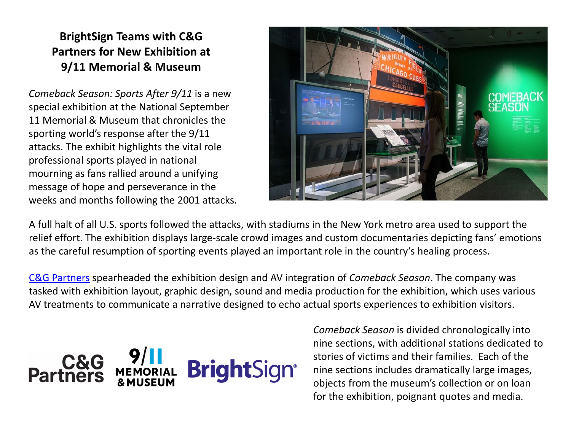## **BrightSign Teams with C&G Partners for New Exhibition at 9/11 Memorial & Museum**

*Comeback Season: Sports After 9/11* is a new special exhibition at the National September 11 Memorial & Museum that chronicles the sporting world's response after the 9/11 attacks. The exhibit highlights the vital role professional sports played in national mourning as fans rallied around a unifying message of hope and perseverance in the weeks and months following the 2001 attacks.



A full halt of all U.S. sports followed the attacks, with stadiums in the New York metro area used to support the relief effort. The exhibition displays large-scale crowd images and custom documentaries depicting fans' emotions as the careful resumption of sporting events played an important role in the country's healing process.

[C&G Partners](https://www.cgpartnersllc.com/) spearheaded the exhibition design and AV integration of *Comeback Season*. The company was tasked with exhibition layout, graphic design, sound and media production for the exhibition, which uses various AV treatments to communicate a narrative designed to echo actual sports experiences to exhibition visitors.



*Comeback Season* is divided chronologically into nine sections, with additional stations dedicated to stories of victims and their families. Each of the nine sections includes dramatically large images, objects from the museum's collection or on loan for the exhibition, poignant quotes and media.